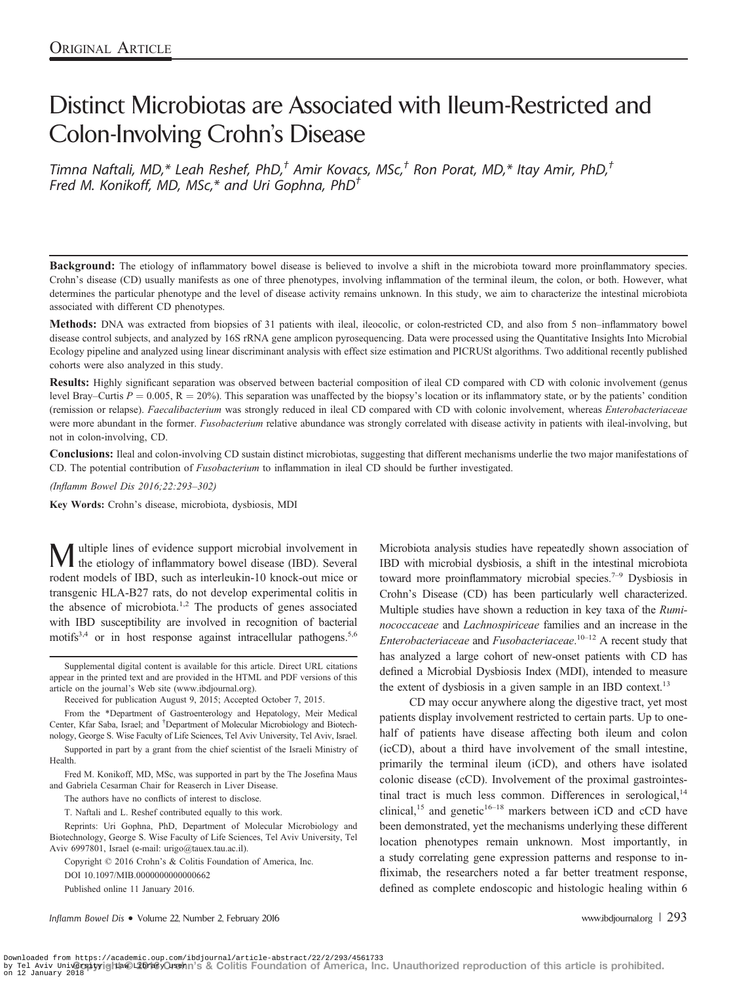# Distinct Microbiotas are Associated with Ileum-Restricted and Colon-Involving Crohn's Disease

Timna Naftali, MD,\* Leah Reshef, PhD, $^{\dagger}$  Amir Kovacs, MSc, $^{\dagger}$  Ron Porat, MD,\* Itay Amir, PhD, $^{\dagger}$ Fred M. Konikoff, MD, MSc,\* and Uri Gophna, PhD<sup>†</sup>

Background: The etiology of inflammatory bowel disease is believed to involve a shift in the microbiota toward more proinflammatory species. Crohn's disease (CD) usually manifests as one of three phenotypes, involving inflammation of the terminal ileum, the colon, or both. However, what determines the particular phenotype and the level of disease activity remains unknown. In this study, we aim to characterize the intestinal microbiota associated with different CD phenotypes.

Methods: DNA was extracted from biopsies of 31 patients with ileal, ileocolic, or colon-restricted CD, and also from 5 non–inflammatory bowel disease control subjects, and analyzed by 16S rRNA gene amplicon pyrosequencing. Data were processed using the Quantitative Insights Into Microbial Ecology pipeline and analyzed using linear discriminant analysis with effect size estimation and PICRUSt algorithms. Two additional recently published cohorts were also analyzed in this study.

Results: Highly significant separation was observed between bacterial composition of ileal CD compared with CD with colonic involvement (genus level Bray–Curtis  $P = 0.005$ ,  $R = 20\%$ ). This separation was unaffected by the biopsy's location or its inflammatory state, or by the patients' condition (remission or relapse). Faecalibacterium was strongly reduced in ileal CD compared with CD with colonic involvement, whereas Enterobacteriaceae were more abundant in the former. Fusobacterium relative abundance was strongly correlated with disease activity in patients with ileal-involving, but not in colon-involving, CD.

Conclusions: Ileal and colon-involving CD sustain distinct microbiotas, suggesting that different mechanisms underlie the two major manifestations of CD. The potential contribution of Fusobacterium to inflammation in ileal CD should be further investigated.

(Inflamm Bowel Dis 2016;22:293–302)

Key Words: Crohn's disease, microbiota, dysbiosis, MDI

ultiple lines of evidence support microbial involvement in the etiology of inflammatory bowel disease (IBD). Several rodent models of IBD, such as interleukin-10 knock-out mice or transgenic HLA-B27 rats, do not develop experimental colitis in the absence of microbiota.<sup>1,2</sup> The products of genes associated with IBD susceptibility are involved in recognition of bacterial motifs<sup>3,4</sup> or in host response against intracellular pathogens.<sup>5,6</sup>

From the \*Department of Gastroenterology and Hepatology, Meir Medical Center, Kfar Saba, Israel; and † Department of Molecular Microbiology and Biotechnology, George S. Wise Faculty of Life Sciences, Tel Aviv University, Tel Aviv, Israel.

Supported in part by a grant from the chief scientist of the Israeli Ministry of **Health** 

Fred M. Konikoff, MD, MSc, was supported in part by the The Josefina Maus and Gabriela Cesarman Chair for Reaserch in Liver Disease.

The authors have no conflicts of interest to disclose.

T. Naftali and L. Reshef contributed equally to this work.

Reprints: Uri Gophna, PhD, Department of Molecular Microbiology and Biotechnology, George S. Wise Faculty of Life Sciences, Tel Aviv University, Tel Aviv 6997801, Israel (e-mail: urigo@tauex.tau.ac.il).

Copyright © 2016 Crohn's & Colitis Foundation of America, Inc.

DOI 10.1097/MIB.0000000000000662

Published online 11 January 2016.

Inflamm Bowel Dis • Volume 22, Number 2, February 2016 www.ibdjournal.org | 293

Microbiota analysis studies have repeatedly shown association of IBD with microbial dysbiosis, a shift in the intestinal microbiota toward more proinflammatory microbial species.<sup>7-9</sup> Dysbiosis in Crohn's Disease (CD) has been particularly well characterized. Multiple studies have shown a reduction in key taxa of the Ruminococcaceae and Lachnospiriceae families and an increase in the Enterobacteriaceae and Fusobacteriaceae.<sup>10-12</sup> A recent study that has analyzed a large cohort of new-onset patients with CD has defined a Microbial Dysbiosis Index (MDI), intended to measure the extent of dysbiosis in a given sample in an IBD context.<sup>13</sup>

CD may occur anywhere along the digestive tract, yet most patients display involvement restricted to certain parts. Up to onehalf of patients have disease affecting both ileum and colon (icCD), about a third have involvement of the small intestine, primarily the terminal ileum (iCD), and others have isolated colonic disease (cCD). Involvement of the proximal gastrointestinal tract is much less common. Differences in serological, $14$ clinical,<sup>15</sup> and genetic<sup>16–18</sup> markers between iCD and cCD have been demonstrated, yet the mechanisms underlying these different location phenotypes remain unknown. Most importantly, in a study correlating gene expression patterns and response to infliximab, the researchers noted a far better treatment response, defined as complete endoscopic and histologic healing within 6

Supplemental digital content is available for this article. Direct URL citations appear in the printed text and are provided in the HTML and PDF versions of this article on the journal's Web site (www.ibdjournal.org).

Received for publication August 9, 2015; Accepted October 7, 2015.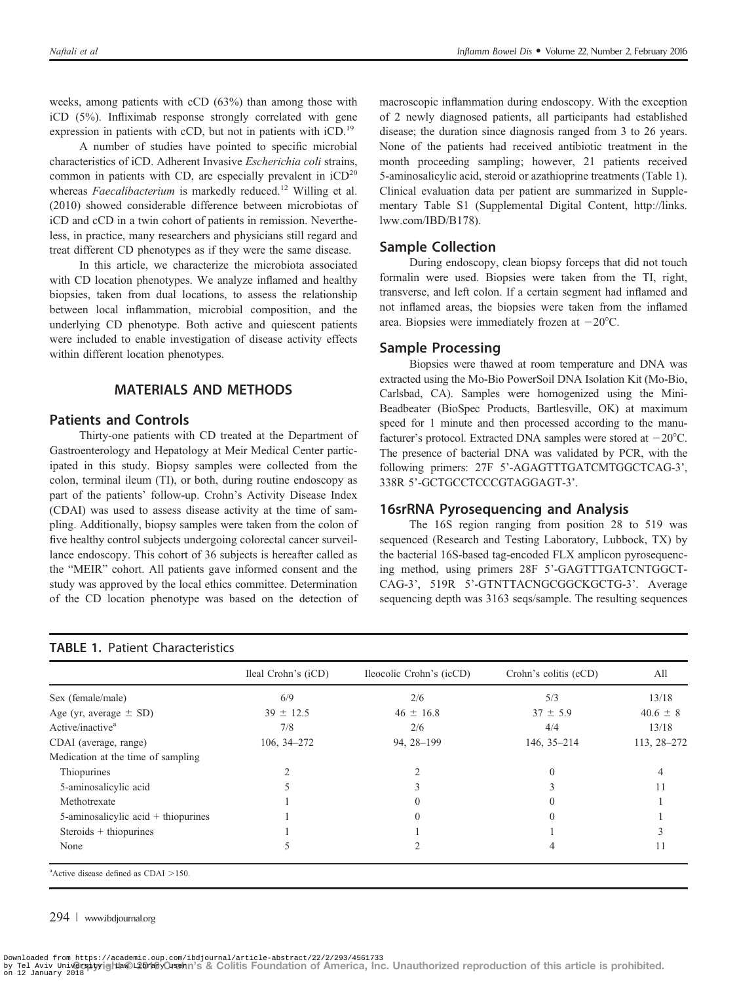weeks, among patients with cCD (63%) than among those with iCD (5%). Infliximab response strongly correlated with gene expression in patients with cCD, but not in patients with iCD.<sup>19</sup>

A number of studies have pointed to specific microbial characteristics of iCD. Adherent Invasive Escherichia coli strains, common in patients with CD, are especially prevalent in  $\text{iCD}^{20}$ whereas Faecalibacterium is markedly reduced.<sup>12</sup> Willing et al. (2010) showed considerable difference between microbiotas of iCD and cCD in a twin cohort of patients in remission. Nevertheless, in practice, many researchers and physicians still regard and treat different CD phenotypes as if they were the same disease.

In this article, we characterize the microbiota associated with CD location phenotypes. We analyze inflamed and healthy biopsies, taken from dual locations, to assess the relationship between local inflammation, microbial composition, and the underlying CD phenotype. Both active and quiescent patients were included to enable investigation of disease activity effects within different location phenotypes.

## MATERIALS AND METHODS

#### Patients and Controls

Thirty-one patients with CD treated at the Department of Gastroenterology and Hepatology at Meir Medical Center participated in this study. Biopsy samples were collected from the colon, terminal ileum (TI), or both, during routine endoscopy as part of the patients' follow-up. Crohn's Activity Disease Index (CDAI) was used to assess disease activity at the time of sampling. Additionally, biopsy samples were taken from the colon of five healthy control subjects undergoing colorectal cancer surveillance endoscopy. This cohort of 36 subjects is hereafter called as the "MEIR" cohort. All patients gave informed consent and the study was approved by the local ethics committee. Determination of the CD location phenotype was based on the detection of

### TABLE 1. Patient Characteristics

macroscopic inflammation during endoscopy. With the exception of 2 newly diagnosed patients, all participants had established disease; the duration since diagnosis ranged from 3 to 26 years. None of the patients had received antibiotic treatment in the month proceeding sampling; however, 21 patients received 5-aminosalicylic acid, steroid or azathioprine treatments (Table 1). Clinical evaluation data per patient are summarized in Supplementary Table S1 (Supplemental Digital Content, http://links. lww.com/IBD/B178).

#### Sample Collection

During endoscopy, clean biopsy forceps that did not touch formalin were used. Biopsies were taken from the TI, right, transverse, and left colon. If a certain segment had inflamed and not inflamed areas, the biopsies were taken from the inflamed area. Biopsies were immediately frozen at  $-20^{\circ}$ C.

#### Sample Processing

Biopsies were thawed at room temperature and DNA was extracted using the Mo-Bio PowerSoil DNA Isolation Kit (Mo-Bio, Carlsbad, CA). Samples were homogenized using the Mini-Beadbeater (BioSpec Products, Bartlesville, OK) at maximum speed for 1 minute and then processed according to the manufacturer's protocol. Extracted DNA samples were stored at  $-20^{\circ}$ C. The presence of bacterial DNA was validated by PCR, with the following primers: 27F 5'-AGAGTTTGATCMTGGCTCAG-3', 338R 5'-GCTGCCTCCCGTAGGAGT-3'.

#### 16srRNA Pyrosequencing and Analysis

The 16S region ranging from position 28 to 519 was sequenced (Research and Testing Laboratory, Lubbock, TX) by the bacterial 16S-based tag-encoded FLX amplicon pyrosequencing method, using primers 28F 5'-GAGTTTGATCNTGGCT-CAG-3', 519R 5'-GTNTTACNGCGGCKGCTG-3'. Average sequencing depth was 3163 seqs/sample. The resulting sequences

|                                     | Ileal Crohn's (iCD) | Ileocolic Crohn's (icCD)      | Crohn's colitis (cCD) | All<br>13/18 |  |
|-------------------------------------|---------------------|-------------------------------|-----------------------|--------------|--|
| Sex (female/male)                   | 6/9                 | 2/6                           | 5/3                   |              |  |
| Age (yr, average $\pm$ SD)          | $39 \pm 12.5$       | $46 \pm 16.8$<br>$37 \pm 5.9$ |                       | $40.6 \pm 8$ |  |
| Active/inactive <sup>a</sup>        | 7/8                 | 4/4<br>2/6                    |                       | 13/18        |  |
| CDAI (average, range)               | $106, 34 - 272$     | 94, 28-199<br>146, 35-214     |                       | 113, 28-272  |  |
| Medication at the time of sampling  |                     |                               |                       |              |  |
| Thiopurines                         |                     |                               |                       |              |  |
| 5-aminosalicylic acid               |                     |                               |                       |              |  |
| Methotrexate                        |                     |                               |                       |              |  |
| 5-aminosalicylic acid + thiopurines |                     |                               |                       |              |  |
| Steroids + thiopurines              |                     |                               |                       |              |  |
| None                                |                     |                               |                       | 11           |  |

 $a$ Active disease defined as CDAI  $>150$ .

#### 294 | www.ibdjournal.org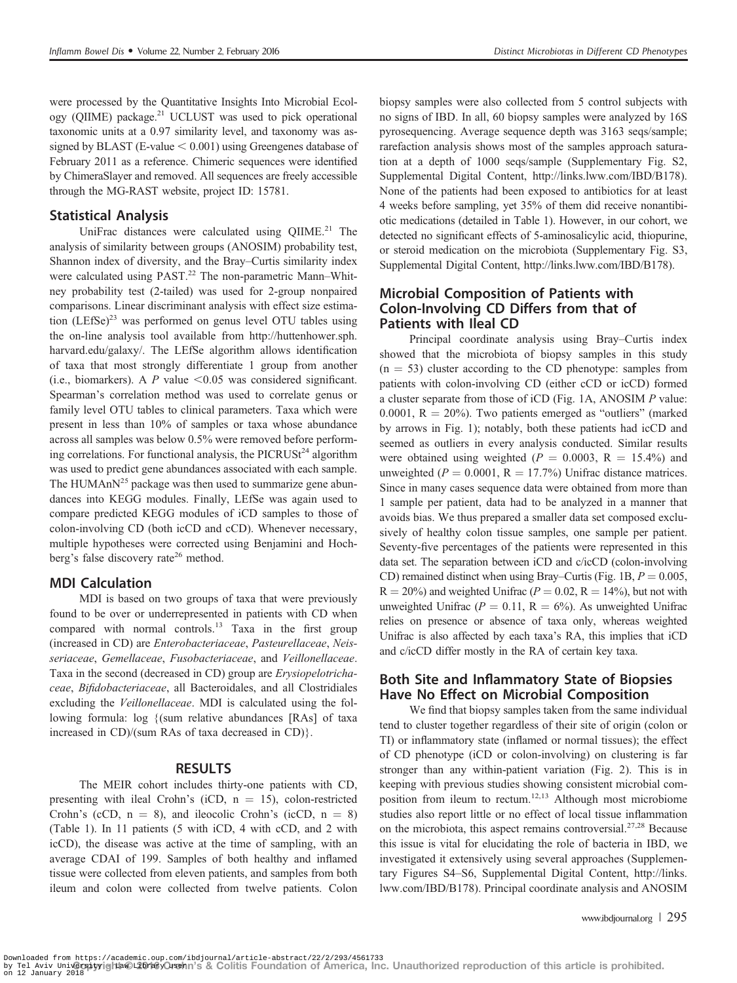were processed by the Quantitative Insights Into Microbial Ecology (QIIME) package.21 UCLUST was used to pick operational taxonomic units at a 0.97 similarity level, and taxonomy was assigned by BLAST (E-value  $< 0.001$ ) using Greengenes database of February 2011 as a reference. Chimeric sequences were identified by ChimeraSlayer and removed. All sequences are freely accessible through the MG-RAST website, project ID: 15781.

## Statistical Analysis

UniFrac distances were calculated using  $QIIME<sup>21</sup>$ . The analysis of similarity between groups (ANOSIM) probability test, Shannon index of diversity, and the Bray–Curtis similarity index were calculated using PAST.<sup>22</sup> The non-parametric Mann–Whitney probability test (2-tailed) was used for 2-group nonpaired comparisons. Linear discriminant analysis with effect size estimation  $(LEfSe)^{23}$  was performed on genus level OTU tables using the on-line analysis tool available from http://huttenhower.sph. harvard.edu/galaxy/. The LEfSe algorithm allows identification of taxa that most strongly differentiate 1 group from another (i.e., biomarkers). A P value  $\leq 0.05$  was considered significant. Spearman's correlation method was used to correlate genus or family level OTU tables to clinical parameters. Taxa which were present in less than 10% of samples or taxa whose abundance across all samples was below 0.5% were removed before performing correlations. For functional analysis, the PICRUS $t^{24}$  algorithm was used to predict gene abundances associated with each sample. The HUMAnN<sup>25</sup> package was then used to summarize gene abundances into KEGG modules. Finally, LEfSe was again used to compare predicted KEGG modules of iCD samples to those of colon-involving CD (both icCD and cCD). Whenever necessary, multiple hypotheses were corrected using Benjamini and Hochberg's false discovery rate<sup>26</sup> method.

## MDI Calculation

MDI is based on two groups of taxa that were previously found to be over or underrepresented in patients with CD when compared with normal controls.<sup>13</sup> Taxa in the first group (increased in CD) are Enterobacteriaceae, Pasteurellaceae, Neisseriaceae, Gemellaceae, Fusobacteriaceae, and Veillonellaceae. Taxa in the second (decreased in CD) group are Erysiopelotrichaceae, Bifidobacteriaceae, all Bacteroidales, and all Clostridiales excluding the Veillonellaceae. MDI is calculated using the following formula: log {(sum relative abundances [RAs] of taxa increased in CD)/(sum RAs of taxa decreased in CD)}.

#### RESULTS

The MEIR cohort includes thirty-one patients with CD, presenting with ileal Crohn's (iCD,  $n = 15$ ), colon-restricted Crohn's (cCD,  $n = 8$ ), and ileocolic Crohn's (icCD,  $n = 8$ ) (Table 1). In 11 patients (5 with iCD, 4 with cCD, and 2 with icCD), the disease was active at the time of sampling, with an average CDAI of 199. Samples of both healthy and inflamed tissue were collected from eleven patients, and samples from both ileum and colon were collected from twelve patients. Colon

biopsy samples were also collected from 5 control subjects with no signs of IBD. In all, 60 biopsy samples were analyzed by 16S pyrosequencing. Average sequence depth was 3163 seqs/sample; rarefaction analysis shows most of the samples approach saturation at a depth of 1000 seqs/sample (Supplementary Fig. S2, Supplemental Digital Content, http://links.lww.com/IBD/B178). None of the patients had been exposed to antibiotics for at least 4 weeks before sampling, yet 35% of them did receive nonantibiotic medications (detailed in Table 1). However, in our cohort, we detected no significant effects of 5-aminosalicylic acid, thiopurine, or steroid medication on the microbiota (Supplementary Fig. S3, Supplemental Digital Content, http://links.lww.com/IBD/B178).

## Microbial Composition of Patients with Colon-Involving CD Differs from that of Patients with Ileal CD

Principal coordinate analysis using Bray–Curtis index showed that the microbiota of biopsy samples in this study  $(n = 53)$  cluster according to the CD phenotype: samples from patients with colon-involving CD (either cCD or icCD) formed a cluster separate from those of iCD (Fig. 1A, ANOSIM P value: 0.0001,  $R = 20\%$ ). Two patients emerged as "outliers" (marked by arrows in Fig. 1); notably, both these patients had icCD and seemed as outliers in every analysis conducted. Similar results were obtained using weighted ( $P = 0.0003$ , R = 15.4%) and unweighted ( $P = 0.0001$ ,  $R = 17.7%$ ) Unifrac distance matrices. Since in many cases sequence data were obtained from more than 1 sample per patient, data had to be analyzed in a manner that avoids bias. We thus prepared a smaller data set composed exclusively of healthy colon tissue samples, one sample per patient. Seventy-five percentages of the patients were represented in this data set. The separation between iCD and c/icCD (colon-involving CD) remained distinct when using Bray–Curtis (Fig. 1B,  $P = 0.005$ ,  $R = 20\%$ ) and weighted Unifrac ( $P = 0.02$ ,  $R = 14\%$ ), but not with unweighted Unifrac ( $P = 0.11$ ,  $R = 6\%$ ). As unweighted Unifrac relies on presence or absence of taxa only, whereas weighted Unifrac is also affected by each taxa's RA, this implies that iCD and c/icCD differ mostly in the RA of certain key taxa.

## Both Site and Inflammatory State of Biopsies Have No Effect on Microbial Composition

We find that biopsy samples taken from the same individual tend to cluster together regardless of their site of origin (colon or TI) or inflammatory state (inflamed or normal tissues); the effect of CD phenotype (iCD or colon-involving) on clustering is far stronger than any within-patient variation (Fig. 2). This is in keeping with previous studies showing consistent microbial composition from ileum to rectum.12,13 Although most microbiome studies also report little or no effect of local tissue inflammation on the microbiota, this aspect remains controversial.<sup>27,28</sup> Because this issue is vital for elucidating the role of bacteria in IBD, we investigated it extensively using several approaches (Supplementary Figures S4–S6, Supplemental Digital Content, http://links. lww.com/IBD/B178). Principal coordinate analysis and ANOSIM

www.ibdjournal.org | 295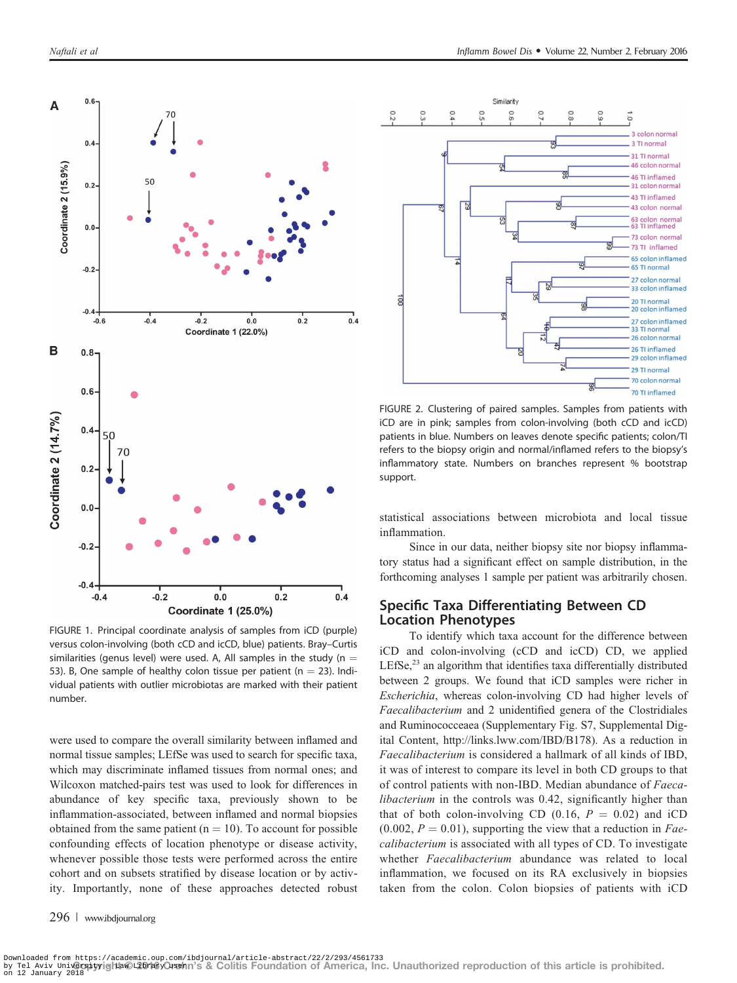

FIGURE 1. Principal coordinate analysis of samples from iCD (purple) versus colon-involving (both cCD and icCD, blue) patients. Bray–Curtis similarities (genus level) were used. A, All samples in the study (n  $=$ 53). B, One sample of healthy colon tissue per patient ( $n = 23$ ). Individual patients with outlier microbiotas are marked with their patient number.

were used to compare the overall similarity between inflamed and normal tissue samples; LEfSe was used to search for specific taxa, which may discriminate inflamed tissues from normal ones; and Wilcoxon matched-pairs test was used to look for differences in abundance of key specific taxa, previously shown to be inflammation-associated, between inflamed and normal biopsies obtained from the same patient ( $n = 10$ ). To account for possible confounding effects of location phenotype or disease activity, whenever possible those tests were performed across the entire cohort and on subsets stratified by disease location or by activity. Importantly, none of these approaches detected robust

296 | www.ibdjournal.org



FIGURE 2. Clustering of paired samples. Samples from patients with iCD are in pink; samples from colon-involving (both cCD and icCD) patients in blue. Numbers on leaves denote specific patients; colon/TI refers to the biopsy origin and normal/inflamed refers to the biopsy's inflammatory state. Numbers on branches represent % bootstrap support.

statistical associations between microbiota and local tissue inflammation.

Since in our data, neither biopsy site nor biopsy inflammatory status had a significant effect on sample distribution, in the forthcoming analyses 1 sample per patient was arbitrarily chosen.

## Specific Taxa Differentiating Between CD Location Phenotypes

To identify which taxa account for the difference between iCD and colon-involving (cCD and icCD) CD, we applied LEfSe, $^{23}$  an algorithm that identifies taxa differentially distributed between 2 groups. We found that iCD samples were richer in Escherichia, whereas colon-involving CD had higher levels of Faecalibacterium and 2 unidentified genera of the Clostridiales and Ruminococceaea (Supplementary Fig. S7, Supplemental Digital Content, http://links.lww.com/IBD/B178). As a reduction in Faecalibacterium is considered a hallmark of all kinds of IBD, it was of interest to compare its level in both CD groups to that of control patients with non-IBD. Median abundance of Faecalibacterium in the controls was 0.42, significantly higher than that of both colon-involving CD (0.16,  $P = 0.02$ ) and iCD  $(0.002, P = 0.01)$ , supporting the view that a reduction in Faecalibacterium is associated with all types of CD. To investigate whether Faecalibacterium abundance was related to local inflammation, we focused on its RA exclusively in biopsies taken from the colon. Colon biopsies of patients with iCD

by τe⊥ ձviv <del>univ@rgjyyig|r</del>t©¤<del>20/i®y</del>Ornehn's & Colitis Foundation of America, Inc. Unauthorized reproduction of this article is prohibited.<br><sub>on 12 January</sub> 2018 Downloaded from https://academic.oup.com/ibdjournal/article-abstract/22/2/293/4561733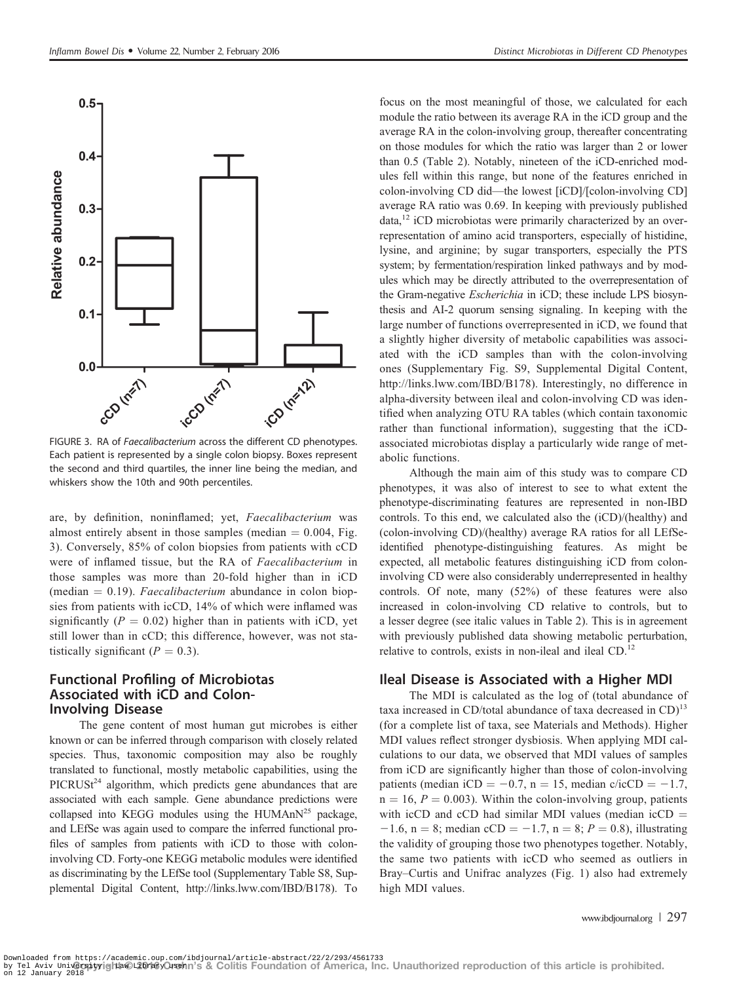

Each patient is represented by a single colon biopsy. Boxes represent the second and third quartiles, the inner line being the median, and whiskers show the 10th and 90th percentiles.

are, by definition, noninflamed; yet, Faecalibacterium was almost entirely absent in those samples (median  $= 0.004$ , Fig. 3). Conversely, 85% of colon biopsies from patients with cCD were of inflamed tissue, but the RA of Faecalibacterium in those samples was more than 20-fold higher than in iCD (median  $= 0.19$ ). Faecalibacterium abundance in colon biopsies from patients with icCD, 14% of which were inflamed was significantly ( $P = 0.02$ ) higher than in patients with iCD, yet still lower than in cCD; this difference, however, was not statistically significant  $(P = 0.3)$ .

## Functional Profiling of Microbiotas Associated with iCD and Colon-Involving Disease

The gene content of most human gut microbes is either known or can be inferred through comparison with closely related species. Thus, taxonomic composition may also be roughly translated to functional, mostly metabolic capabilities, using the PICRUSt<sup>24</sup> algorithm, which predicts gene abundances that are associated with each sample. Gene abundance predictions were collapsed into KEGG modules using the HUMAn $N^{25}$  package, and LEfSe was again used to compare the inferred functional profiles of samples from patients with iCD to those with coloninvolving CD. Forty-one KEGG metabolic modules were identified as discriminating by the LEfSe tool (Supplementary Table S8, Supplemental Digital Content, http://links.lww.com/IBD/B178). To

focus on the most meaningful of those, we calculated for each module the ratio between its average RA in the iCD group and the average RA in the colon-involving group, thereafter concentrating on those modules for which the ratio was larger than 2 or lower than 0.5 (Table 2). Notably, nineteen of the iCD-enriched modules fell within this range, but none of the features enriched in colon-involving CD did—the lowest [iCD]/[colon-involving CD] average RA ratio was 0.69. In keeping with previously published data,<sup>12</sup> iCD microbiotas were primarily characterized by an overrepresentation of amino acid transporters, especially of histidine, lysine, and arginine; by sugar transporters, especially the PTS system; by fermentation/respiration linked pathways and by modules which may be directly attributed to the overrepresentation of the Gram-negative Escherichia in iCD; these include LPS biosynthesis and AI-2 quorum sensing signaling. In keeping with the large number of functions overrepresented in iCD, we found that a slightly higher diversity of metabolic capabilities was associated with the iCD samples than with the colon-involving ones (Supplementary Fig. S9, Supplemental Digital Content, http://links.lww.com/IBD/B178). Interestingly, no difference in alpha-diversity between ileal and colon-involving CD was identified when analyzing OTU RA tables (which contain taxonomic rather than functional information), suggesting that the iCDassociated microbiotas display a particularly wide range of metabolic functions.

Although the main aim of this study was to compare CD phenotypes, it was also of interest to see to what extent the phenotype-discriminating features are represented in non-IBD controls. To this end, we calculated also the (iCD)/(healthy) and (colon-involving CD)/(healthy) average RA ratios for all LEfSeidentified phenotype-distinguishing features. As might be expected, all metabolic features distinguishing iCD from coloninvolving CD were also considerably underrepresented in healthy controls. Of note, many (52%) of these features were also increased in colon-involving CD relative to controls, but to a lesser degree (see italic values in Table 2). This is in agreement with previously published data showing metabolic perturbation, relative to controls, exists in non-ileal and ileal CD.<sup>12</sup>

# Ileal Disease is Associated with a Higher MDI

The MDI is calculated as the log of (total abundance of taxa increased in CD/total abundance of taxa decreased in CD)<sup>13</sup> (for a complete list of taxa, see Materials and Methods). Higher MDI values reflect stronger dysbiosis. When applying MDI calculations to our data, we observed that MDI values of samples from iCD are significantly higher than those of colon-involving patients (median iCD =  $-0.7$ , n = 15, median c/icCD =  $-1.7$ ,  $n = 16$ ,  $P = 0.003$ ). Within the colon-involving group, patients with icCD and cCD had similar MDI values (median icCD  $=$  $-1.6$ , n = 8; median cCD =  $-1.7$ , n = 8; P = 0.8), illustrating the validity of grouping those two phenotypes together. Notably, the same two patients with icCD who seemed as outliers in Bray–Curtis and Unifrac analyzes (Fig. 1) also had extremely high MDI values.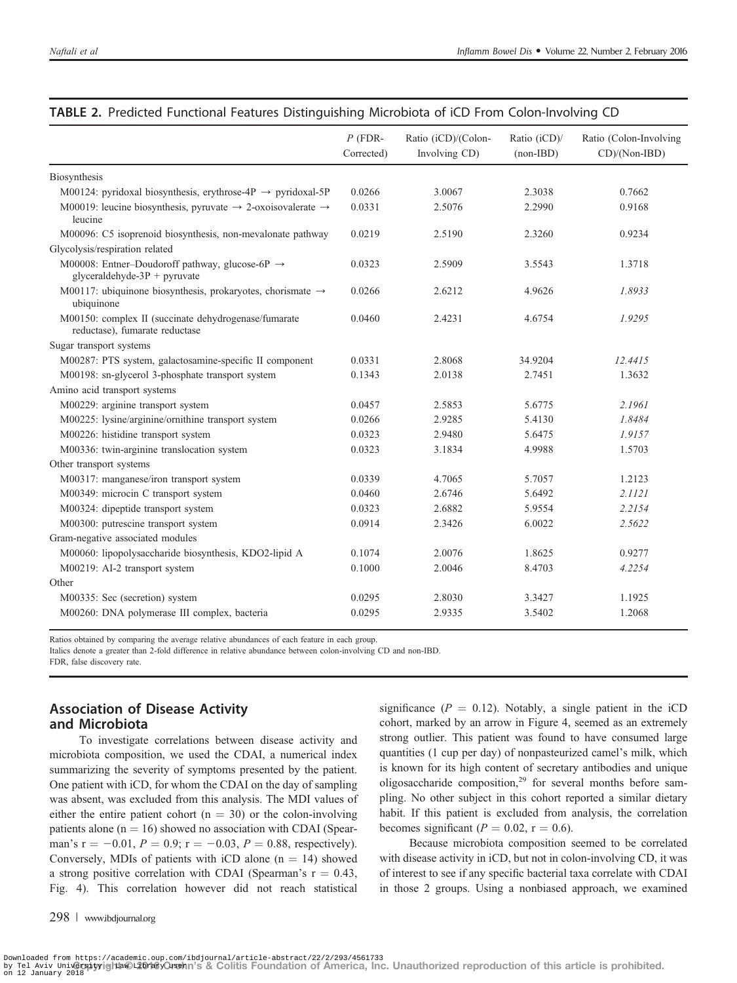|                                                                                                | $P$ (FDR-<br>Corrected) | Ratio (iCD)/(Colon-<br>Involving CD) | Ratio (iCD)/<br>$(non-IBD)$ | Ratio (Colon-Involving<br>CD)/(Non-IBD) |  |
|------------------------------------------------------------------------------------------------|-------------------------|--------------------------------------|-----------------------------|-----------------------------------------|--|
| Biosynthesis                                                                                   |                         |                                      |                             |                                         |  |
| M00124: pyridoxal biosynthesis, erythrose-4P $\rightarrow$ pyridoxal-5P                        | 0.0266                  | 3.0067                               | 2.3038                      | 0.7662                                  |  |
| M00019: leucine biosynthesis, pyruvate $\rightarrow$ 2-oxoisovalerate $\rightarrow$<br>leucine | 0.0331                  | 2.5076                               | 2.2990                      | 0.9168                                  |  |
| M00096: C5 isoprenoid biosynthesis, non-mevalonate pathway                                     | 0.0219                  | 2.5190                               | 2.3260                      | 0.9234                                  |  |
| Glycolysis/respiration related                                                                 |                         |                                      |                             |                                         |  |
| M00008: Entner-Doudoroff pathway, glucose-6P $\rightarrow$<br>glyceraldehyde- $3P + pyruvate$  | 0.0323                  | 2.5909                               | 3.5543                      | 1.3718                                  |  |
| M00117: ubiquinone biosynthesis, prokaryotes, chorismate $\rightarrow$<br>ubiquinone           | 0.0266                  | 2.6212                               | 4.9626                      | 1.8933                                  |  |
| M00150: complex II (succinate dehydrogenase/fumarate<br>reductase), fumarate reductase         | 0.0460                  | 2.4231                               | 4.6754                      | 1.9295                                  |  |
| Sugar transport systems                                                                        |                         |                                      |                             |                                         |  |
| M00287: PTS system, galactosamine-specific II component                                        | 0.0331                  | 2.8068                               | 34.9204                     | 12.4415                                 |  |
| M00198: sn-glycerol 3-phosphate transport system                                               | 0.1343                  | 2.0138                               | 2.7451                      | 1.3632                                  |  |
| Amino acid transport systems                                                                   |                         |                                      |                             |                                         |  |
| M00229: arginine transport system                                                              | 0.0457                  | 2.5853                               | 5.6775                      | 2.1961                                  |  |
| M00225: lysine/arginine/ornithine transport system                                             | 0.0266                  | 2.9285                               | 5.4130                      | 1.8484                                  |  |
| M00226: histidine transport system                                                             | 0.0323                  | 2.9480                               | 5.6475                      | 1.9157                                  |  |
| M00336: twin-arginine translocation system                                                     | 0.0323                  | 3.1834                               | 4.9988                      | 1.5703                                  |  |
| Other transport systems                                                                        |                         |                                      |                             |                                         |  |
| M00317: manganese/iron transport system                                                        | 0.0339                  | 4.7065                               | 5.7057                      | 1.2123                                  |  |
| M00349: microcin C transport system                                                            | 0.0460                  | 2.6746                               | 5.6492                      | 2.1121                                  |  |
| M00324: dipeptide transport system                                                             | 0.0323                  | 2.6882                               | 5.9554                      | 2.2154                                  |  |
| M00300: putrescine transport system                                                            | 0.0914                  | 2.3426                               | 6.0022                      | 2.5622                                  |  |
| Gram-negative associated modules                                                               |                         |                                      |                             |                                         |  |
| M00060: lipopolysaccharide biosynthesis, KDO2-lipid A                                          | 0.1074                  | 2.0076                               | 1.8625                      | 0.9277                                  |  |
| M00219: AI-2 transport system                                                                  | 0.1000                  | 2.0046                               | 8.4703                      | 4.2254                                  |  |
| Other                                                                                          |                         |                                      |                             |                                         |  |
| M00335: Sec (secretion) system                                                                 | 0.0295                  | 2.8030                               | 3.3427                      | 1.1925                                  |  |
| M00260: DNA polymerase III complex, bacteria                                                   | 0.0295                  | 2.9335                               | 3.5402                      | 1.2068                                  |  |

#### TABLE 2. Predicted Functional Features Distinguishing Microbiota of iCD From Colon-Involving CD

Ratios obtained by comparing the average relative abundances of each feature in each group.

Italics denote a greater than 2-fold difference in relative abundance between colon-involving CD and non-IBD.

FDR, false discovery rate.

# Association of Disease Activity and Microbiota

To investigate correlations between disease activity and microbiota composition, we used the CDAI, a numerical index summarizing the severity of symptoms presented by the patient. One patient with iCD, for whom the CDAI on the day of sampling was absent, was excluded from this analysis. The MDI values of either the entire patient cohort ( $n = 30$ ) or the colon-involving patients alone  $(n = 16)$  showed no association with CDAI (Spearman's  $r = -0.01$ ,  $P = 0.9$ ;  $r = -0.03$ ,  $P = 0.88$ , respectively). Conversely, MDIs of patients with iCD alone  $(n = 14)$  showed a strong positive correlation with CDAI (Spearman's  $r = 0.43$ , Fig. 4). This correlation however did not reach statistical

298 | www.ibdjournal.org

significance ( $P = 0.12$ ). Notably, a single patient in the iCD cohort, marked by an arrow in Figure 4, seemed as an extremely strong outlier. This patient was found to have consumed large quantities (1 cup per day) of nonpasteurized camel's milk, which is known for its high content of secretary antibodies and unique oligosaccharide composition, $2<sup>9</sup>$  for several months before sampling. No other subject in this cohort reported a similar dietary habit. If this patient is excluded from analysis, the correlation becomes significant ( $P = 0.02$ ,  $r = 0.6$ ).

Because microbiota composition seemed to be correlated with disease activity in iCD, but not in colon-involving CD, it was of interest to see if any specific bacterial taxa correlate with CDAI in those 2 groups. Using a nonbiased approach, we examined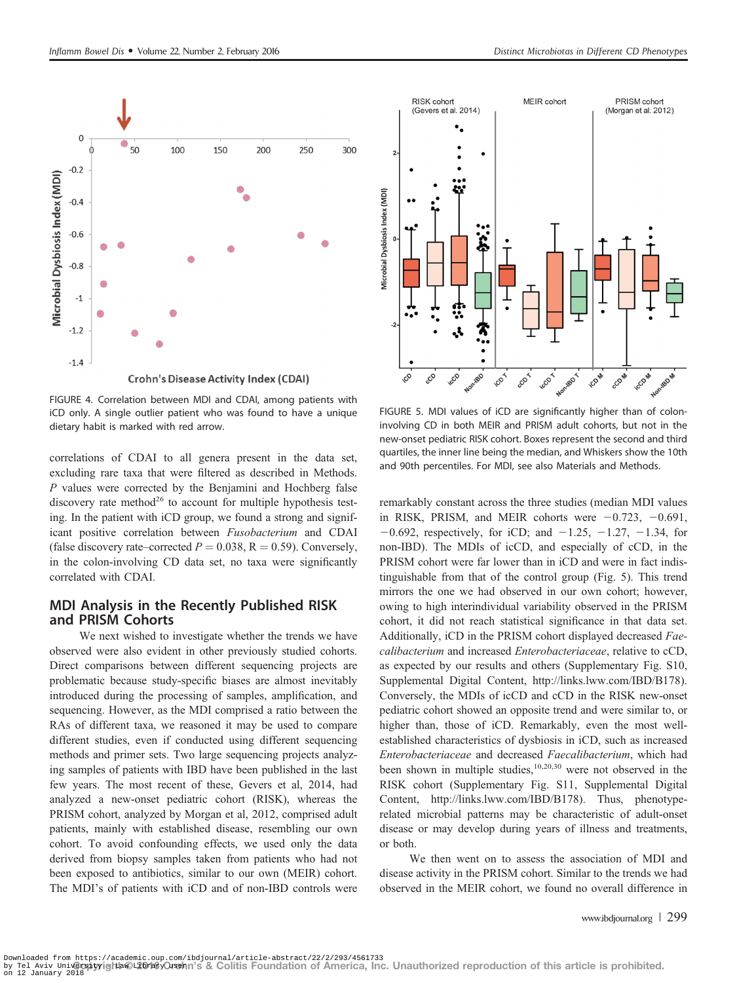

FIGURE 4. Correlation between MDI and CDAI, among patients with iCD only. A single outlier patient who was found to have a unique dietary habit is marked with red arrow.

correlations of CDAI to all genera present in the data set, excluding rare taxa that were filtered as described in Methods. P values were corrected by the Benjamini and Hochberg false discovery rate method<sup>26</sup> to account for multiple hypothesis testing. In the patient with iCD group, we found a strong and significant positive correlation between Fusobacterium and CDAI (false discovery rate–corrected  $P = 0.038$ , R = 0.59). Conversely, in the colon-involving CD data set, no taxa were significantly correlated with CDAI.

## MDI Analysis in the Recently Published RISK and PRISM Cohorts

We next wished to investigate whether the trends we have observed were also evident in other previously studied cohorts. Direct comparisons between different sequencing projects are problematic because study-specific biases are almost inevitably introduced during the processing of samples, amplification, and sequencing. However, as the MDI comprised a ratio between the RAs of different taxa, we reasoned it may be used to compare different studies, even if conducted using different sequencing methods and primer sets. Two large sequencing projects analyzing samples of patients with IBD have been published in the last few years. The most recent of these, Gevers et al, 2014, had analyzed a new-onset pediatric cohort (RISK), whereas the PRISM cohort, analyzed by Morgan et al, 2012, comprised adult patients, mainly with established disease, resembling our own cohort. To avoid confounding effects, we used only the data derived from biopsy samples taken from patients who had not been exposed to antibiotics, similar to our own (MEIR) cohort. The MDI's of patients with iCD and of non-IBD controls were



FIGURE 5. MDI values of iCD are significantly higher than of coloninvolving CD in both MEIR and PRISM adult cohorts, but not in the new-onset pediatric RISK cohort. Boxes represent the second and third quartiles, the inner line being the median, and Whiskers show the 10th and 90th percentiles. For MDI, see also Materials and Methods.

remarkably constant across the three studies (median MDI values in RISK, PRISM, and MEIR cohorts were  $-0.723$ ,  $-0.691$ ,  $-0.692$ , respectively, for iCD; and  $-1.25$ ,  $-1.27$ ,  $-1.34$ , for non-IBD). The MDIs of icCD, and especially of cCD, in the PRISM cohort were far lower than in iCD and were in fact indistinguishable from that of the control group (Fig. 5). This trend mirrors the one we had observed in our own cohort; however, owing to high interindividual variability observed in the PRISM cohort, it did not reach statistical significance in that data set. Additionally, iCD in the PRISM cohort displayed decreased Faecalibacterium and increased Enterobacteriaceae, relative to cCD, as expected by our results and others (Supplementary Fig. S10, Supplemental Digital Content, http://links.lww.com/IBD/B178). Conversely, the MDIs of icCD and cCD in the RISK new-onset pediatric cohort showed an opposite trend and were similar to, or higher than, those of iCD. Remarkably, even the most wellestablished characteristics of dysbiosis in iCD, such as increased Enterobacteriaceae and decreased Faecalibacterium, which had been shown in multiple studies, $10,20,30$  were not observed in the RISK cohort (Supplementary Fig. S11, Supplemental Digital Content, http://links.lww.com/IBD/B178). Thus, phenotyperelated microbial patterns may be characteristic of adult-onset disease or may develop during years of illness and treatments, or both.

We then went on to assess the association of MDI and disease activity in the PRISM cohort. Similar to the trends we had observed in the MEIR cohort, we found no overall difference in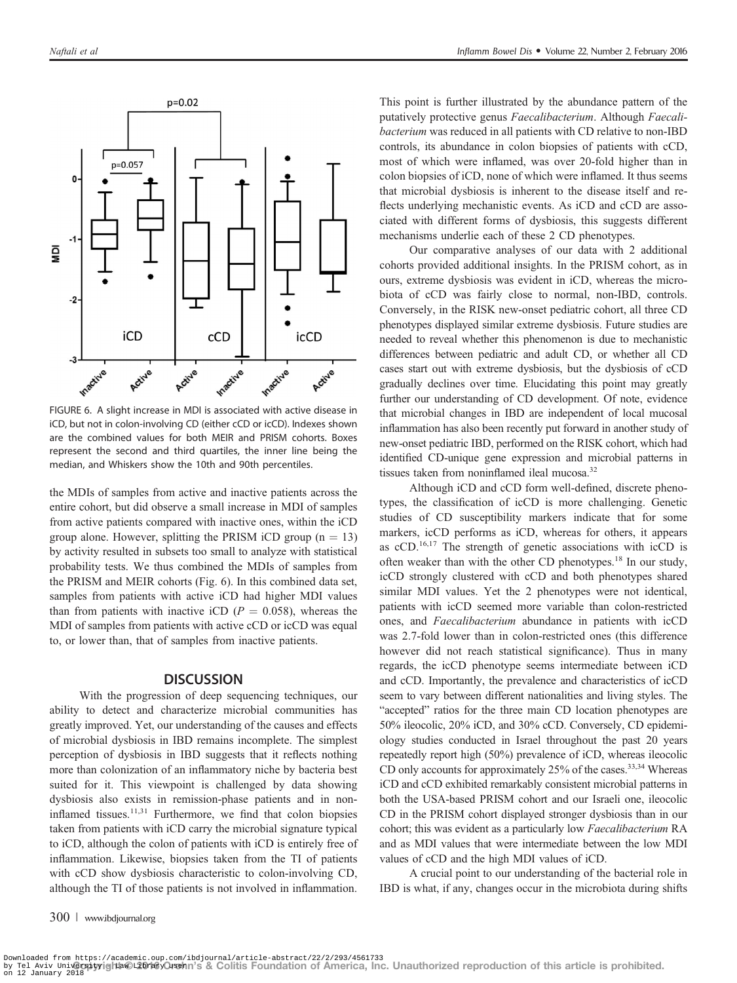

FIGURE 6. A slight increase in MDI is associated with active disease in iCD, but not in colon-involving CD (either cCD or icCD). Indexes shown are the combined values for both MEIR and PRISM cohorts. Boxes represent the second and third quartiles, the inner line being the median, and Whiskers show the 10th and 90th percentiles.

the MDIs of samples from active and inactive patients across the entire cohort, but did observe a small increase in MDI of samples from active patients compared with inactive ones, within the iCD group alone. However, splitting the PRISM iCD group  $(n = 13)$ by activity resulted in subsets too small to analyze with statistical probability tests. We thus combined the MDIs of samples from the PRISM and MEIR cohorts (Fig. 6). In this combined data set, samples from patients with active iCD had higher MDI values than from patients with inactive iCD ( $P = 0.058$ ), whereas the MDI of samples from patients with active cCD or icCD was equal to, or lower than, that of samples from inactive patients.

#### **DISCUSSION**

With the progression of deep sequencing techniques, our ability to detect and characterize microbial communities has greatly improved. Yet, our understanding of the causes and effects of microbial dysbiosis in IBD remains incomplete. The simplest perception of dysbiosis in IBD suggests that it reflects nothing more than colonization of an inflammatory niche by bacteria best suited for it. This viewpoint is challenged by data showing dysbiosis also exists in remission-phase patients and in noninflamed tissues. $11,31$  Furthermore, we find that colon biopsies taken from patients with iCD carry the microbial signature typical to iCD, although the colon of patients with iCD is entirely free of inflammation. Likewise, biopsies taken from the TI of patients with cCD show dysbiosis characteristic to colon-involving CD, although the TI of those patients is not involved in inflammation.

This point is further illustrated by the abundance pattern of the putatively protective genus Faecalibacterium. Although Faecalibacterium was reduced in all patients with CD relative to non-IBD controls, its abundance in colon biopsies of patients with cCD, most of which were inflamed, was over 20-fold higher than in colon biopsies of iCD, none of which were inflamed. It thus seems that microbial dysbiosis is inherent to the disease itself and reflects underlying mechanistic events. As iCD and cCD are associated with different forms of dysbiosis, this suggests different mechanisms underlie each of these 2 CD phenotypes.

Our comparative analyses of our data with 2 additional cohorts provided additional insights. In the PRISM cohort, as in ours, extreme dysbiosis was evident in iCD, whereas the microbiota of cCD was fairly close to normal, non-IBD, controls. Conversely, in the RISK new-onset pediatric cohort, all three CD phenotypes displayed similar extreme dysbiosis. Future studies are needed to reveal whether this phenomenon is due to mechanistic differences between pediatric and adult CD, or whether all CD cases start out with extreme dysbiosis, but the dysbiosis of cCD gradually declines over time. Elucidating this point may greatly further our understanding of CD development. Of note, evidence that microbial changes in IBD are independent of local mucosal inflammation has also been recently put forward in another study of new-onset pediatric IBD, performed on the RISK cohort, which had identified CD-unique gene expression and microbial patterns in tissues taken from noninflamed ileal mucosa.<sup>32</sup>

Although iCD and cCD form well-defined, discrete phenotypes, the classification of icCD is more challenging. Genetic studies of CD susceptibility markers indicate that for some markers, icCD performs as iCD, whereas for others, it appears as cCD.<sup>16,17</sup> The strength of genetic associations with icCD is often weaker than with the other CD phenotypes.<sup>18</sup> In our study, icCD strongly clustered with cCD and both phenotypes shared similar MDI values. Yet the 2 phenotypes were not identical, patients with icCD seemed more variable than colon-restricted ones, and Faecalibacterium abundance in patients with icCD was 2.7-fold lower than in colon-restricted ones (this difference however did not reach statistical significance). Thus in many regards, the icCD phenotype seems intermediate between iCD and cCD. Importantly, the prevalence and characteristics of icCD seem to vary between different nationalities and living styles. The "accepted" ratios for the three main CD location phenotypes are 50% ileocolic, 20% iCD, and 30% cCD. Conversely, CD epidemiology studies conducted in Israel throughout the past 20 years repeatedly report high (50%) prevalence of iCD, whereas ileocolic CD only accounts for approximately 25% of the cases.<sup>33,34</sup> Whereas iCD and cCD exhibited remarkably consistent microbial patterns in both the USA-based PRISM cohort and our Israeli one, ileocolic CD in the PRISM cohort displayed stronger dysbiosis than in our cohort; this was evident as a particularly low Faecalibacterium RA and as MDI values that were intermediate between the low MDI values of cCD and the high MDI values of iCD.

A crucial point to our understanding of the bacterial role in IBD is what, if any, changes occur in the microbiota during shifts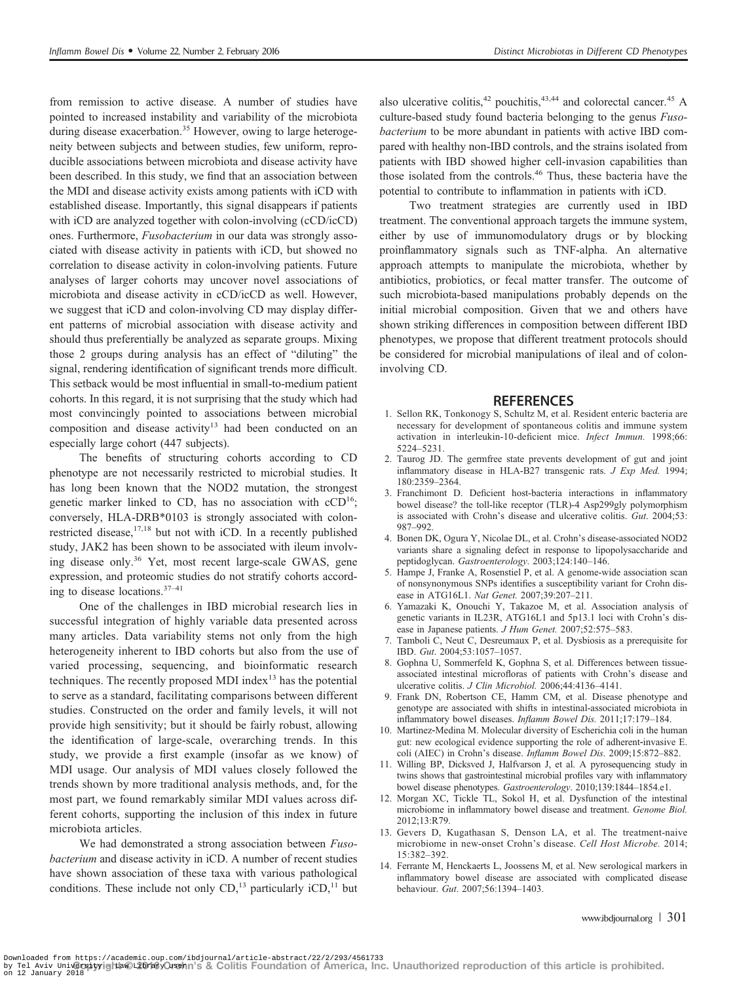from remission to active disease. A number of studies have pointed to increased instability and variability of the microbiota during disease exacerbation.<sup>35</sup> However, owing to large heterogeneity between subjects and between studies, few uniform, reproducible associations between microbiota and disease activity have been described. In this study, we find that an association between the MDI and disease activity exists among patients with iCD with established disease. Importantly, this signal disappears if patients with iCD are analyzed together with colon-involving (cCD/icCD) ones. Furthermore, Fusobacterium in our data was strongly associated with disease activity in patients with iCD, but showed no correlation to disease activity in colon-involving patients. Future analyses of larger cohorts may uncover novel associations of microbiota and disease activity in cCD/icCD as well. However, we suggest that iCD and colon-involving CD may display different patterns of microbial association with disease activity and should thus preferentially be analyzed as separate groups. Mixing those 2 groups during analysis has an effect of "diluting" the signal, rendering identification of significant trends more difficult. This setback would be most influential in small-to-medium patient cohorts. In this regard, it is not surprising that the study which had most convincingly pointed to associations between microbial composition and disease activity<sup>13</sup> had been conducted on an especially large cohort (447 subjects).

The benefits of structuring cohorts according to CD phenotype are not necessarily restricted to microbial studies. It has long been known that the NOD2 mutation, the strongest genetic marker linked to CD, has no association with  $\text{cCD}^{16}$ ; conversely, HLA-DRB\*0103 is strongly associated with colonrestricted disease, $17,18$  but not with iCD. In a recently published study, JAK2 has been shown to be associated with ileum involving disease only.<sup>36</sup> Yet, most recent large-scale GWAS, gene expression, and proteomic studies do not stratify cohorts according to disease locations.<sup>37</sup>–<sup>41</sup>

One of the challenges in IBD microbial research lies in successful integration of highly variable data presented across many articles. Data variability stems not only from the high heterogeneity inherent to IBD cohorts but also from the use of varied processing, sequencing, and bioinformatic research techniques. The recently proposed MDI index $13$  has the potential to serve as a standard, facilitating comparisons between different studies. Constructed on the order and family levels, it will not provide high sensitivity; but it should be fairly robust, allowing the identification of large-scale, overarching trends. In this study, we provide a first example (insofar as we know) of MDI usage. Our analysis of MDI values closely followed the trends shown by more traditional analysis methods, and, for the most part, we found remarkably similar MDI values across different cohorts, supporting the inclusion of this index in future microbiota articles.

We had demonstrated a strong association between Fusobacterium and disease activity in iCD. A number of recent studies have shown association of these taxa with various pathological conditions. These include not only  $CD<sup>13</sup>$  particularly  $iCD<sup>11</sup>$  but

also ulcerative colitis, $42$  pouchitis, $43,44$  and colorectal cancer. $45$  A culture-based study found bacteria belonging to the genus Fusobacterium to be more abundant in patients with active IBD compared with healthy non-IBD controls, and the strains isolated from patients with IBD showed higher cell-invasion capabilities than those isolated from the controls.<sup>46</sup> Thus, these bacteria have the potential to contribute to inflammation in patients with iCD.

Two treatment strategies are currently used in IBD treatment. The conventional approach targets the immune system, either by use of immunomodulatory drugs or by blocking proinflammatory signals such as TNF-alpha. An alternative approach attempts to manipulate the microbiota, whether by antibiotics, probiotics, or fecal matter transfer. The outcome of such microbiota-based manipulations probably depends on the initial microbial composition. Given that we and others have shown striking differences in composition between different IBD phenotypes, we propose that different treatment protocols should be considered for microbial manipulations of ileal and of coloninvolving CD.

#### **REFERENCES**

- 1. Sellon RK, Tonkonogy S, Schultz M, et al. Resident enteric bacteria are necessary for development of spontaneous colitis and immune system activation in interleukin-10-deficient mice. Infect Immun. 1998;66: 5224–5231.
- 2. Taurog JD. The germfree state prevents development of gut and joint inflammatory disease in HLA-B27 transgenic rats. J Exp Med. 1994; 180:2359–2364.
- 3. Franchimont D. Deficient host-bacteria interactions in inflammatory bowel disease? the toll-like receptor (TLR)-4 Asp299gly polymorphism is associated with Crohn's disease and ulcerative colitis. Gut. 2004;53: 987–992.
- 4. Bonen DK, Ogura Y, Nicolae DL, et al. Crohn's disease-associated NOD2 variants share a signaling defect in response to lipopolysaccharide and peptidoglycan. Gastroenterology. 2003;124:140-146.
- 5. Hampe J, Franke A, Rosenstiel P, et al. A genome-wide association scan of nonsynonymous SNPs identifies a susceptibility variant for Crohn disease in ATG16L1. Nat Genet. 2007;39:207-211.
- 6. Yamazaki K, Onouchi Y, Takazoe M, et al. Association analysis of genetic variants in IL23R, ATG16L1 and 5p13.1 loci with Crohn's disease in Japanese patients. J Hum Genet. 2007;52:575-583.
- 7. Tamboli C, Neut C, Desreumaux P, et al. Dysbiosis as a prerequisite for IBD. Gut. 2004;53:1057–1057.
- 8. Gophna U, Sommerfeld K, Gophna S, et al. Differences between tissueassociated intestinal microfloras of patients with Crohn's disease and ulcerative colitis. J Clin Microbiol. 2006;44:4136–4141.
- 9. Frank DN, Robertson CE, Hamm CM, et al. Disease phenotype and genotype are associated with shifts in intestinal-associated microbiota in inflammatory bowel diseases. Inflamm Bowel Dis. 2011;17:179–184.
- 10. Martinez‐Medina M. Molecular diversity of Escherichia coli in the human gut: new ecological evidence supporting the role of adherent‐invasive E. coli (AIEC) in Crohn's disease. Inflamm Bowel Dis. 2009;15:872-882.
- 11. Willing BP, Dicksved J, Halfvarson J, et al. A pyrosequencing study in twins shows that gastrointestinal microbial profiles vary with inflammatory bowel disease phenotypes. Gastroenterology. 2010;139:1844–1854.e1.
- 12. Morgan XC, Tickle TL, Sokol H, et al. Dysfunction of the intestinal microbiome in inflammatory bowel disease and treatment. Genome Biol. 2012;13:R79.
- 13. Gevers D, Kugathasan S, Denson LA, et al. The treatment-naive microbiome in new-onset Crohn's disease. Cell Host Microbe. 2014; 15:382–392.
- 14. Ferrante M, Henckaerts L, Joossens M, et al. New serological markers in inflammatory bowel disease are associated with complicated disease behaviour. Gut. 2007;56:1394–1403.

www.ibdjournal.org | 301